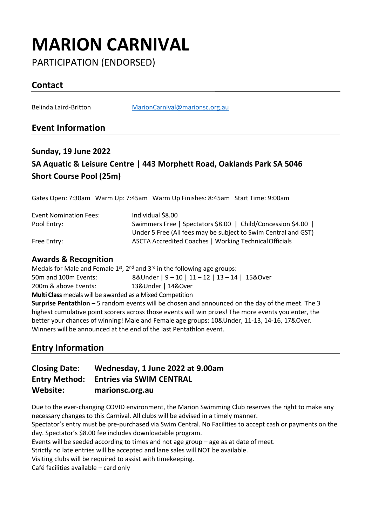# **MARION CARNIVAL**

PARTICIPATION (ENDORSED)

# **Contact**

Belinda Laird-Britton [MarionCarnival@marionsc.org.au](mailto:MarionCarnival@marionsc.org.au)

### **Event Information**

# **Sunday, 19 June 2022 SA Aquatic & Leisure Centre | 443 Morphett Road, Oaklands Park SA 5046 Short Course Pool (25m)**

Gates Open: 7:30am Warm Up: 7:45am Warm Up Finishes: 8:45am Start Time: 9:00am

| <b>Event Nomination Fees:</b> | Individual \$8.00                                              |
|-------------------------------|----------------------------------------------------------------|
| Pool Entry:                   | Swimmers Free   Spectators \$8.00   Child/Concession \$4.00    |
|                               | Under 5 Free (All fees may be subject to Swim Central and GST) |
| Free Entry:                   | ASCTA Accredited Coaches   Working Technical Officials         |

#### **Awards & Recognition**

Medals for Male and Female  $1^{st}$ ,  $2^{nd}$  and  $3^{rd}$  in the following age groups: 50m and 100m Events: 8&Under | 9 – 10 | 11 – 12 | 13 – 14 | 15&Over 200m & above Events: 13&Under | 14&Over **Multi Class** medals will be awarded as a Mixed Competition **Surprise Pentathlon –** 5 random events will be chosen and announced on the day of the meet. The 3

highest cumulative point scorers across those events will win prizes! The more events you enter, the better your chances of winning! Male and Female age groups: 10&Under, 11-13, 14-16, 17&Over. Winners will be announced at the end of the last Pentathlon event.

### **Entry Information**

#### **Closing Date: Wednesday, 1 June 2022 at 9.00am Entry Method: Entries via SWIM CENTRAL Website: marionsc.org.au**

Due to the ever-changing COVID environment, the Marion Swimming Club reserves the right to make any necessary changes to this Carnival. All clubs will be advised in a timely manner. Spectator's entry must be pre-purchased via Swim Central. No Facilities to accept cash or payments on the day. Spectator's \$8.00 fee includes downloadable program.

Events will be seeded according to times and not age group – age as at date of meet.

Strictly no late entries will be accepted and lane sales will NOT be available.

Visiting clubs will be required to assist with timekeeping.

Café facilities available – card only